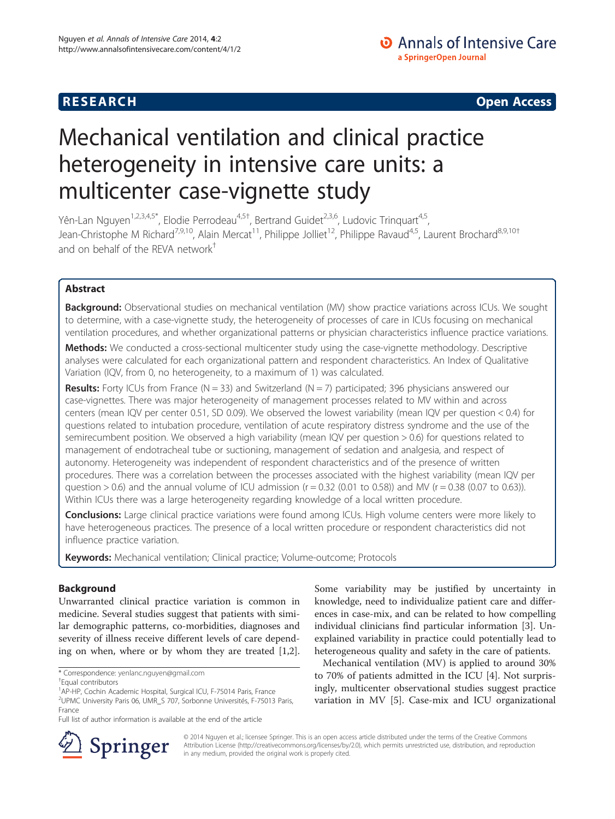**RESEARCH RESEARCH CONSUMING ACCESS** 

# Mechanical ventilation and clinical practice heterogeneity in intensive care units: a multicenter case-vignette study

Yên-Lan Nguyen<sup>1,2,3,4,5\*</sup>, Elodie Perrodeau<sup>4,5†</sup>, Bertrand Guidet<sup>2,3,6</sup>, Ludovic Trinquart<sup>4,5</sup>, Jean-Christophe M Richard<sup>7,9,10</sup>, Alain Mercat<sup>11</sup>, Philippe Jolliet<sup>12</sup>, Philippe Ravaud<sup>4,5</sup>, Laurent Brochard<sup>8,9,10†</sup> and on behalf of the REVA network†

# Abstract

Background: Observational studies on mechanical ventilation (MV) show practice variations across ICUs. We sought to determine, with a case-vignette study, the heterogeneity of processes of care in ICUs focusing on mechanical ventilation procedures, and whether organizational patterns or physician characteristics influence practice variations.

Methods: We conducted a cross-sectional multicenter study using the case-vignette methodology. Descriptive analyses were calculated for each organizational pattern and respondent characteristics. An Index of Qualitative Variation (IQV, from 0, no heterogeneity, to a maximum of 1) was calculated.

**Results:** Forty ICUs from France (N = 33) and Switzerland (N = 7) participated; 396 physicians answered our case-vignettes. There was major heterogeneity of management processes related to MV within and across centers (mean IQV per center 0.51, SD 0.09). We observed the lowest variability (mean IQV per question < 0.4) for questions related to intubation procedure, ventilation of acute respiratory distress syndrome and the use of the semirecumbent position. We observed a high variability (mean IQV per question > 0.6) for questions related to management of endotracheal tube or suctioning, management of sedation and analgesia, and respect of autonomy. Heterogeneity was independent of respondent characteristics and of the presence of written procedures. There was a correlation between the processes associated with the highest variability (mean IQV per question  $> 0.6$ ) and the annual volume of ICU admission (r = 0.32 (0.01 to 0.58)) and MV (r = 0.38 (0.07 to 0.63)). Within ICUs there was a large heterogeneity regarding knowledge of a local written procedure.

**Conclusions:** Large clinical practice variations were found among ICUs. High volume centers were more likely to have heterogeneous practices. The presence of a local written procedure or respondent characteristics did not influence practice variation.

Keywords: Mechanical ventilation; Clinical practice; Volume-outcome; Protocols

# Background

Unwarranted clinical practice variation is common in medicine. Several studies suggest that patients with similar demographic patterns, co-morbidities, diagnoses and severity of illness receive different levels of care depending on when, where or by whom they are treated [\[1,2](#page-7-0)].



Mechanical ventilation (MV) is applied to around 30% to 70% of patients admitted in the ICU [\[4](#page-7-0)]. Not surprisingly, multicenter observational studies suggest practice variation in MV [\[5](#page-7-0)]. Case-mix and ICU organizational



© 2014 Nguyen et al.; licensee Springer. This is an open access article distributed under the terms of the Creative Commons Attribution License [\(http://creativecommons.org/licenses/by/2.0\)](http://creativecommons.org/licenses/by/2.0), which permits unrestricted use, distribution, and reproduction in any medium, provided the original work is properly cited.

<sup>\*</sup> Correspondence: [yenlanc.nguyen@gmail.com](mailto:yenlanc.nguyen@gmail.com) †

Equal contributors

<sup>&</sup>lt;sup>1</sup>AP-HP, Cochin Academic Hospital, Surgical ICU, F-75014 Paris, France 2 UPMC University Paris 06, UMR\_S 707, Sorbonne Universités, F-75013 Paris, France

Full list of author information is available at the end of the article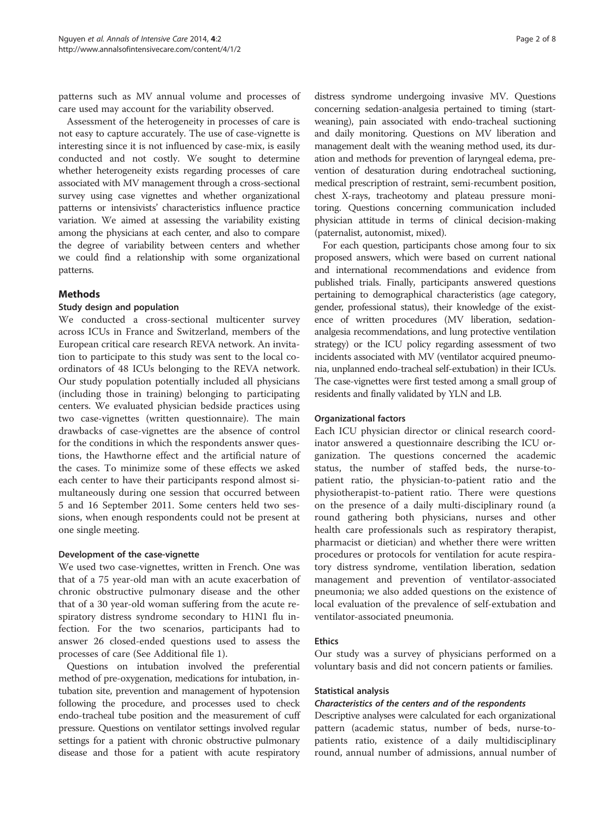patterns such as MV annual volume and processes of care used may account for the variability observed.

Assessment of the heterogeneity in processes of care is not easy to capture accurately. The use of case-vignette is interesting since it is not influenced by case-mix, is easily conducted and not costly. We sought to determine whether heterogeneity exists regarding processes of care associated with MV management through a cross-sectional survey using case vignettes and whether organizational patterns or intensivists' characteristics influence practice variation. We aimed at assessing the variability existing among the physicians at each center, and also to compare the degree of variability between centers and whether we could find a relationship with some organizational patterns.

# Methods

# Study design and population

We conducted a cross-sectional multicenter survey across ICUs in France and Switzerland, members of the European critical care research REVA network. An invitation to participate to this study was sent to the local coordinators of 48 ICUs belonging to the REVA network. Our study population potentially included all physicians (including those in training) belonging to participating centers. We evaluated physician bedside practices using two case-vignettes (written questionnaire). The main drawbacks of case-vignettes are the absence of control for the conditions in which the respondents answer questions, the Hawthorne effect and the artificial nature of the cases. To minimize some of these effects we asked each center to have their participants respond almost simultaneously during one session that occurred between 5 and 16 September 2011. Some centers held two sessions, when enough respondents could not be present at one single meeting.

# Development of the case-vignette

We used two case-vignettes, written in French. One was that of a 75 year-old man with an acute exacerbation of chronic obstructive pulmonary disease and the other that of a 30 year-old woman suffering from the acute respiratory distress syndrome secondary to H1N1 flu infection. For the two scenarios, participants had to answer 26 closed-ended questions used to assess the processes of care (See Additional file [1](#page-6-0)).

Questions on intubation involved the preferential method of pre-oxygenation, medications for intubation, intubation site, prevention and management of hypotension following the procedure, and processes used to check endo-tracheal tube position and the measurement of cuff pressure. Questions on ventilator settings involved regular settings for a patient with chronic obstructive pulmonary disease and those for a patient with acute respiratory

distress syndrome undergoing invasive MV. Questions concerning sedation-analgesia pertained to timing (startweaning), pain associated with endo-tracheal suctioning and daily monitoring. Questions on MV liberation and management dealt with the weaning method used, its duration and methods for prevention of laryngeal edema, prevention of desaturation during endotracheal suctioning, medical prescription of restraint, semi-recumbent position, chest X-rays, tracheotomy and plateau pressure monitoring. Questions concerning communication included physician attitude in terms of clinical decision-making (paternalist, autonomist, mixed).

For each question, participants chose among four to six proposed answers, which were based on current national and international recommendations and evidence from published trials. Finally, participants answered questions pertaining to demographical characteristics (age category, gender, professional status), their knowledge of the existence of written procedures (MV liberation, sedationanalgesia recommendations, and lung protective ventilation strategy) or the ICU policy regarding assessment of two incidents associated with MV (ventilator acquired pneumonia, unplanned endo-tracheal self-extubation) in their ICUs. The case-vignettes were first tested among a small group of residents and finally validated by YLN and LB.

# Organizational factors

Each ICU physician director or clinical research coordinator answered a questionnaire describing the ICU organization. The questions concerned the academic status, the number of staffed beds, the nurse-topatient ratio, the physician-to-patient ratio and the physiotherapist-to-patient ratio. There were questions on the presence of a daily multi-disciplinary round (a round gathering both physicians, nurses and other health care professionals such as respiratory therapist, pharmacist or dietician) and whether there were written procedures or protocols for ventilation for acute respiratory distress syndrome, ventilation liberation, sedation management and prevention of ventilator-associated pneumonia; we also added questions on the existence of local evaluation of the prevalence of self-extubation and ventilator-associated pneumonia.

# Ethics

Our study was a survey of physicians performed on a voluntary basis and did not concern patients or families.

# Statistical analysis

# Characteristics of the centers and of the respondents

Descriptive analyses were calculated for each organizational pattern (academic status, number of beds, nurse-topatients ratio, existence of a daily multidisciplinary round, annual number of admissions, annual number of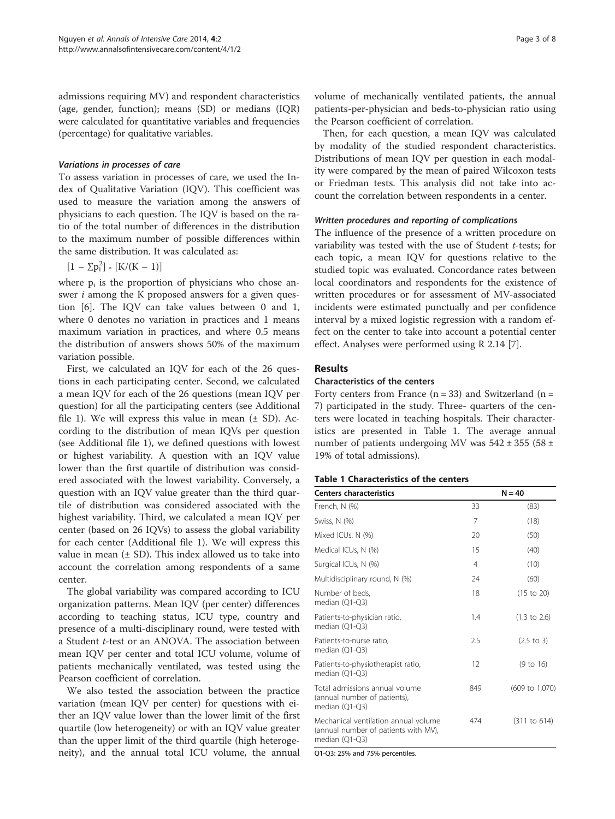admissions requiring MV) and respondent characteristics (age, gender, function); means (SD) or medians (IQR) were calculated for quantitative variables and frequencies (percentage) for qualitative variables.

# Variations in processes of care

To assess variation in processes of care, we used the Index of Qualitative Variation (IQV). This coefficient was used to measure the variation among the answers of physicians to each question. The IQV is based on the ratio of the total number of differences in the distribution to the maximum number of possible differences within the same distribution. It was calculated as:

$$
[1-\Sigma p_i^2]\ast [K/(K-1)]
$$

where  $p_i$  is the proportion of physicians who chose answer  $i$  among the K proposed answers for a given question [[6](#page-7-0)]. The IQV can take values between 0 and 1, where 0 denotes no variation in practices and 1 means maximum variation in practices, and where 0.5 means the distribution of answers shows 50% of the maximum variation possible.

First, we calculated an IQV for each of the 26 questions in each participating center. Second, we calculated a mean IQV for each of the 26 questions (mean IQV per question) for all the participating centers (see Additional file [1](#page-6-0)). We will express this value in mean (± SD). According to the distribution of mean IQVs per question (see Additional file [1\)](#page-6-0), we defined questions with lowest or highest variability. A question with an IQV value lower than the first quartile of distribution was considered associated with the lowest variability. Conversely, a question with an IQV value greater than the third quartile of distribution was considered associated with the highest variability. Third, we calculated a mean IQV per center (based on 26 IQVs) to assess the global variability for each center (Additional file [1\)](#page-6-0). We will express this value in mean  $(\pm SD)$ . This index allowed us to take into account the correlation among respondents of a same center.

The global variability was compared according to ICU organization patterns. Mean IQV (per center) differences according to teaching status, ICU type, country and presence of a multi-disciplinary round, were tested with a Student t-test or an ANOVA. The association between mean IQV per center and total ICU volume, volume of patients mechanically ventilated, was tested using the Pearson coefficient of correlation.

We also tested the association between the practice variation (mean IQV per center) for questions with either an IQV value lower than the lower limit of the first quartile (low heterogeneity) or with an IQV value greater than the upper limit of the third quartile (high heterogeneity), and the annual total ICU volume, the annual volume of mechanically ventilated patients, the annual patients-per-physician and beds-to-physician ratio using the Pearson coefficient of correlation.

Then, for each question, a mean IQV was calculated by modality of the studied respondent characteristics. Distributions of mean IQV per question in each modality were compared by the mean of paired Wilcoxon tests or Friedman tests. This analysis did not take into account the correlation between respondents in a center.

# Written procedures and reporting of complications

The influence of the presence of a written procedure on variability was tested with the use of Student t-tests; for each topic, a mean IQV for questions relative to the studied topic was evaluated. Concordance rates between local coordinators and respondents for the existence of written procedures or for assessment of MV-associated incidents were estimated punctually and per confidence interval by a mixed logistic regression with a random effect on the center to take into account a potential center effect. Analyses were performed using R 2.14 [\[7](#page-7-0)].

# Results

# Characteristics of the centers

Forty centers from France  $(n = 33)$  and Switzerland  $(n = 12)$ 7) participated in the study. Three- quarters of the centers were located in teaching hospitals. Their characteristics are presented in Table 1. The average annual number of patients undergoing MV was  $542 \pm 355$  (58  $\pm$ 19% of total admissions).

# Table 1 Characteristics of the centers

| <b>Centers characteristics</b>                                                                   | $N = 40$ |                         |  |  |
|--------------------------------------------------------------------------------------------------|----------|-------------------------|--|--|
| French, N (%)                                                                                    | 33       | (83)                    |  |  |
| Swiss, N (%)                                                                                     | 7        | (18)                    |  |  |
| Mixed ICUs, N (%)                                                                                | 20       | (50)                    |  |  |
| Medical ICUs, N (%)                                                                              | 15       | (40)                    |  |  |
| Surgical ICUs, N (%)                                                                             | 4        | (10)                    |  |  |
| Multidisciplinary round, N (%)                                                                   | 24       | (60)                    |  |  |
| Number of beds,<br>median $(Q1-Q3)$                                                              | 18       | $(15 \text{ to } 20)$   |  |  |
| Patients-to-physician ratio,<br>median (Q1-Q3)                                                   | 1.4      | $(1.3 \text{ to } 2.6)$ |  |  |
| Patients-to-nurse ratio,<br>median (Q1-Q3)                                                       | 2.5      | $(2.5 \text{ to } 3)$   |  |  |
| Patients-to-physiotherapist ratio,<br>median $(Q1-Q3)$                                           | 12       | $(9 \text{ to } 16)$    |  |  |
| Total admissions annual volume<br>(annual number of patients),<br>median (Q1-Q3)                 | 849      | (609 to 1,070)          |  |  |
| Mechanical ventilation annual volume<br>(annual number of patients with MV),<br>median $(Q1-Q3)$ | 474      | $(311 \text{ to } 614)$ |  |  |

Q1-Q3: 25% and 75% percentiles.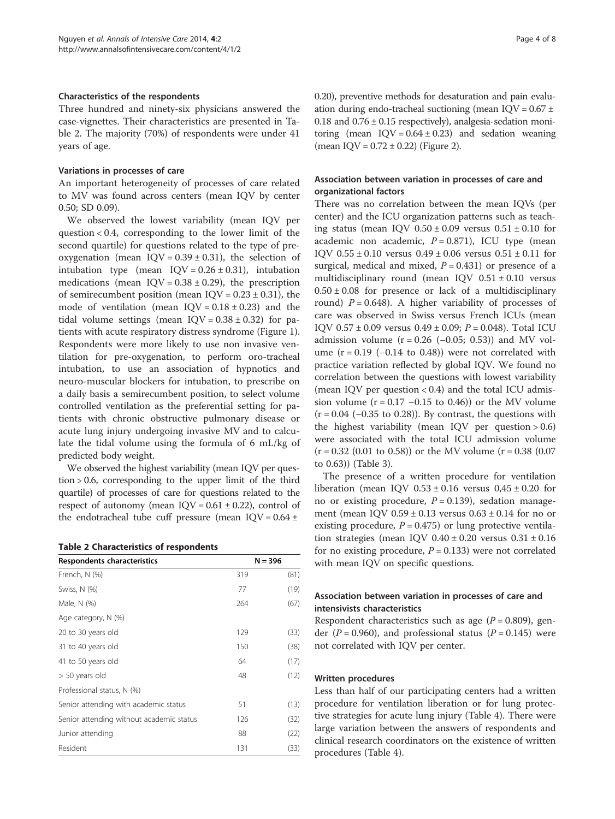#### Characteristics of the respondents

Three hundred and ninety-six physicians answered the case-vignettes. Their characteristics are presented in Table 2. The majority (70%) of respondents were under 41 years of age.

#### Variations in processes of care

An important heterogeneity of processes of care related to MV was found across centers (mean IQV by center 0.50; SD 0.09).

We observed the lowest variability (mean IQV per question < 0.4, corresponding to the lower limit of the second quartile) for questions related to the type of preoxygenation (mean IQV =  $0.39 \pm 0.31$ ), the selection of intubation type (mean  $IOV = 0.26 \pm 0.31$ ), intubation medications (mean  $IQV = 0.38 \pm 0.29$ ), the prescription of semirecumbent position (mean  $IQV = 0.23 \pm 0.31$ ), the mode of ventilation (mean  $IQV = 0.18 \pm 0.23$ ) and the tidal volume settings (mean  $IQV = 0.38 \pm 0.32$ ) for patients with acute respiratory distress syndrome (Figure [1](#page-4-0)). Respondents were more likely to use non invasive ventilation for pre-oxygenation, to perform oro-tracheal intubation, to use an association of hypnotics and neuro-muscular blockers for intubation, to prescribe on a daily basis a semirecumbent position, to select volume controlled ventilation as the preferential setting for patients with chronic obstructive pulmonary disease or acute lung injury undergoing invasive MV and to calculate the tidal volume using the formula of 6 mL/kg of predicted body weight.

We observed the highest variability (mean IQV per question > 0.6, corresponding to the upper limit of the third quartile) of processes of care for questions related to the respect of autonomy (mean  $IQV = 0.61 \pm 0.22$ ), control of the endotracheal tube cuff pressure (mean  $IQV = 0.64 \pm$ 

| <b>Table 2 Characteristics of respondents</b> |  |  |  |
|-----------------------------------------------|--|--|--|
|-----------------------------------------------|--|--|--|

| <b>Respondents characteristics</b>       |     | $N = 396$ |
|------------------------------------------|-----|-----------|
| French, N (%)                            | 319 | (81)      |
| Swiss, N (%)                             | 77  | (19)      |
| Male, N (%)                              | 264 | (67)      |
| Age category, N (%)                      |     |           |
| 20 to 30 years old                       | 129 | (33)      |
| 31 to 40 years old                       | 150 | (38)      |
| 41 to 50 years old                       | 64  | (17)      |
| > 50 years old                           | 48  | (12)      |
| Professional status, N (%)               |     |           |
| Senior attending with academic status    | 51  | (13)      |
| Senior attending without academic status | 126 | (32)      |
| Junior attending                         | 88  | (22)      |
| Resident                                 | 131 | (33)      |

0.20), preventive methods for desaturation and pain evaluation during endo-tracheal suctioning (mean IQV =  $0.67 \pm$ 0.18 and  $0.76 \pm 0.15$  respectively), analgesia-sedation monitoring (mean  $IQV = 0.64 \pm 0.23$ ) and sedation weaning (mean IQV =  $0.72 \pm 0.22$ ) (Figure [2\)](#page-5-0).

# Association between variation in processes of care and organizational factors

There was no correlation between the mean IQVs (per center) and the ICU organization patterns such as teaching status (mean IQV  $0.50 \pm 0.09$  versus  $0.51 \pm 0.10$  for academic non academic,  $P = 0.871$ ), ICU type (mean IQV 0.55 ± 0.10 versus 0.49 ± 0.06 versus 0.51 ± 0.11 for surgical, medical and mixed,  $P = 0.431$ ) or presence of a multidisciplinary round (mean IQV  $0.51 \pm 0.10$  versus  $0.50 \pm 0.08$  for presence or lack of a multidisciplinary round)  $P = 0.648$ . A higher variability of processes of care was observed in Swiss versus French ICUs (mean IQV  $0.57 \pm 0.09$  versus  $0.49 \pm 0.09$ ;  $P = 0.048$ ). Total ICU admission volume ( $r = 0.26$  (-0.05; 0.53)) and MV volume  $(r = 0.19$  (-0.14 to 0.48)) were not correlated with practice variation reflected by global IQV. We found no correlation between the questions with lowest variability (mean IQV per question  $< 0.4$ ) and the total ICU admission volume ( $r = 0.17 - 0.15$  to 0.46)) or the MV volume  $(r = 0.04$  (-0.35 to 0.28)). By contrast, the questions with the highest variability (mean IQV per question  $> 0.6$ ) were associated with the total ICU admission volume  $(r = 0.32$  (0.01 to 0.58)) or the MV volume  $(r = 0.38$  (0.07 to 0.63)) (Table [3](#page-5-0)).

The presence of a written procedure for ventilation liberation (mean IQV  $0.53 \pm 0.16$  versus  $0.45 \pm 0.20$  for no or existing procedure,  $P = 0.139$ ), sedation management (mean IQV  $0.59 \pm 0.13$  versus  $0.63 \pm 0.14$  for no or existing procedure,  $P = 0.475$ ) or lung protective ventilation strategies (mean IQV  $0.40 \pm 0.20$  versus  $0.31 \pm 0.16$ for no existing procedure,  $P = 0.133$ ) were not correlated with mean IQV on specific questions.

# Association between variation in processes of care and intensivists characteristics

Respondent characteristics such as age  $(P = 0.809)$ , gender ( $P = 0.960$ ), and professional status ( $P = 0.145$ ) were not correlated with IQV per center.

#### Written procedures

Less than half of our participating centers had a written procedure for ventilation liberation or for lung protective strategies for acute lung injury (Table [4\)](#page-6-0). There were large variation between the answers of respondents and clinical research coordinators on the existence of written procedures (Table [4](#page-6-0)).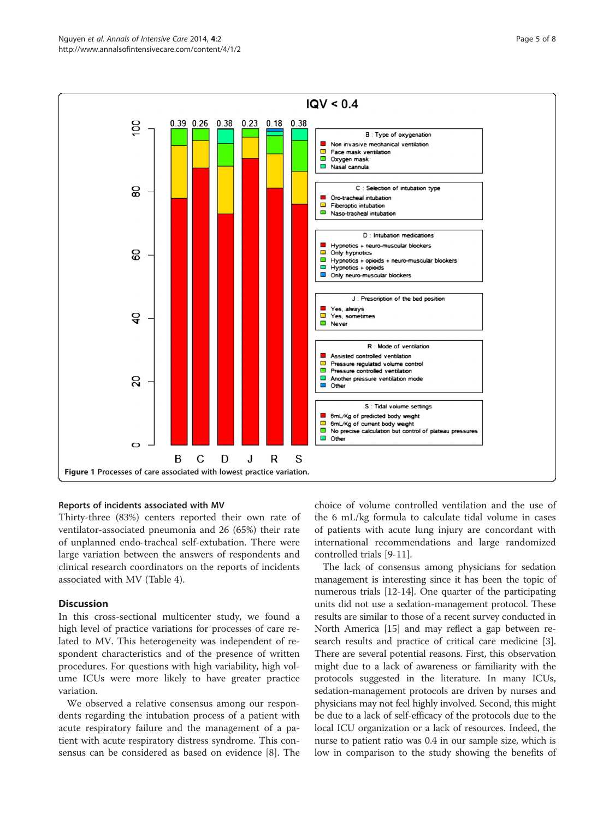<span id="page-4-0"></span>

#### Reports of incidents associated with MV

Thirty-three (83%) centers reported their own rate of ventilator-associated pneumonia and 26 (65%) their rate of unplanned endo-tracheal self-extubation. There were large variation between the answers of respondents and clinical research coordinators on the reports of incidents associated with MV (Table [4\)](#page-6-0).

# **Discussion**

In this cross-sectional multicenter study, we found a high level of practice variations for processes of care related to MV. This heterogeneity was independent of respondent characteristics and of the presence of written procedures. For questions with high variability, high volume ICUs were more likely to have greater practice variation.

We observed a relative consensus among our respondents regarding the intubation process of a patient with acute respiratory failure and the management of a patient with acute respiratory distress syndrome. This consensus can be considered as based on evidence [[8](#page-7-0)]. The

choice of volume controlled ventilation and the use of the 6 mL/kg formula to calculate tidal volume in cases of patients with acute lung injury are concordant with international recommendations and large randomized controlled trials [[9-11\]](#page-7-0).

The lack of consensus among physicians for sedation management is interesting since it has been the topic of numerous trials [\[12-14\]](#page-7-0). One quarter of the participating units did not use a sedation-management protocol. These results are similar to those of a recent survey conducted in North America [\[15\]](#page-7-0) and may reflect a gap between research results and practice of critical care medicine [[3](#page-7-0)]. There are several potential reasons. First, this observation might due to a lack of awareness or familiarity with the protocols suggested in the literature. In many ICUs, sedation-management protocols are driven by nurses and physicians may not feel highly involved. Second, this might be due to a lack of self-efficacy of the protocols due to the local ICU organization or a lack of resources. Indeed, the nurse to patient ratio was 0.4 in our sample size, which is low in comparison to the study showing the benefits of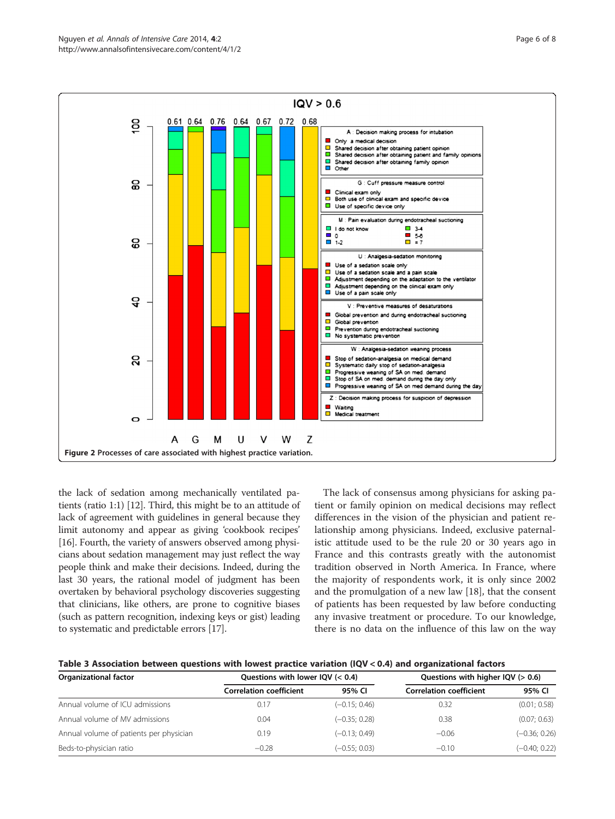<span id="page-5-0"></span>

the lack of sedation among mechanically ventilated patients (ratio 1:1) [\[12\]](#page-7-0). Third, this might be to an attitude of lack of agreement with guidelines in general because they limit autonomy and appear as giving 'cookbook recipes' [[16](#page-7-0)]. Fourth, the variety of answers observed among physicians about sedation management may just reflect the way people think and make their decisions. Indeed, during the last 30 years, the rational model of judgment has been overtaken by behavioral psychology discoveries suggesting that clinicians, like others, are prone to cognitive biases (such as pattern recognition, indexing keys or gist) leading to systematic and predictable errors [[17](#page-7-0)].

The lack of consensus among physicians for asking patient or family opinion on medical decisions may reflect differences in the vision of the physician and patient relationship among physicians. Indeed, exclusive paternalistic attitude used to be the rule 20 or 30 years ago in France and this contrasts greatly with the autonomist tradition observed in North America. In France, where the majority of respondents work, it is only since 2002 and the promulgation of a new law [\[18\]](#page-7-0), that the consent of patients has been requested by law before conducting any invasive treatment or procedure. To our knowledge, there is no data on the influence of this law on the way

|  |  |  |  |  |  |  |  |  |  |  | Table 3 Association between questions with lowest practice variation (IQV < 0.4) and organizational factors |  |
|--|--|--|--|--|--|--|--|--|--|--|-------------------------------------------------------------------------------------------------------------|--|
|--|--|--|--|--|--|--|--|--|--|--|-------------------------------------------------------------------------------------------------------------|--|

| Organizational factor                   | Questions with lower IQV $(< 0.4)$ |                 | Questions with higher $IQV$ ( $> 0.6$ ) |                 |  |
|-----------------------------------------|------------------------------------|-----------------|-----------------------------------------|-----------------|--|
|                                         | <b>Correlation coefficient</b>     | 95% CI          | <b>Correlation coefficient</b>          | 95% CI          |  |
| Annual volume of ICU admissions         | 0.17                               | $(-0.15; 0.46)$ | 0.32                                    | (0.01; 0.58)    |  |
| Annual volume of MV admissions          | 0.04                               | $(-0.35; 0.28)$ | 0.38                                    | (0.07; 0.63)    |  |
| Annual volume of patients per physician | 0.19                               | $(-0.13:0.49)$  | $-0.06$                                 | $(-0.36; 0.26)$ |  |
| Beds-to-physician ratio                 | $-0.28$                            | $(-0.55:0.03)$  | $-0.10$                                 | $(-0.40; 0.22)$ |  |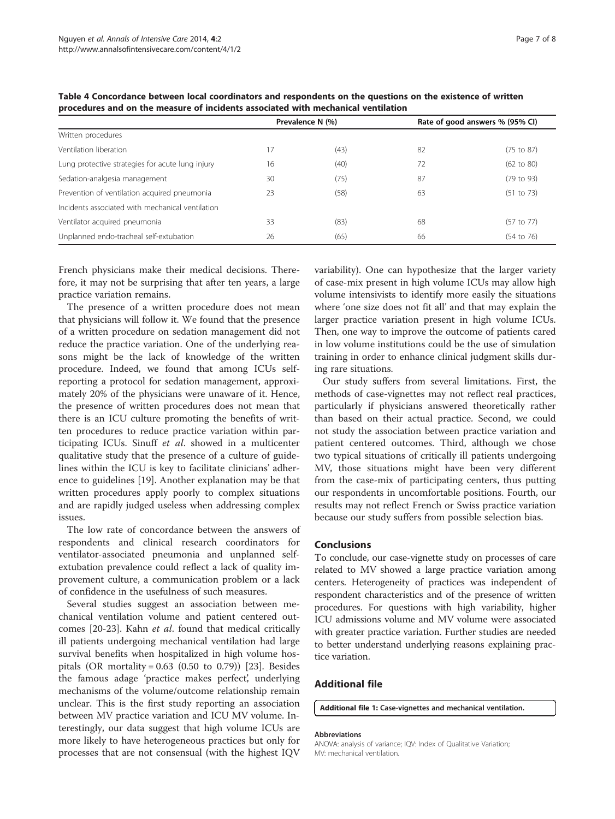|                                                  |    | Prevalence N (%) | Rate of good answers % (95% CI) |                       |  |
|--------------------------------------------------|----|------------------|---------------------------------|-----------------------|--|
| Written procedures                               |    |                  |                                 |                       |  |
| Ventilation liberation                           | 17 | (43)             | 82                              | (75 to 87)            |  |
| Lung protective strategies for acute lung injury | 16 | (40)             | 72                              | $(62 \text{ to } 80)$ |  |
| Sedation-analgesia management                    | 30 | (75)             | 87                              | (79 to 93)            |  |
| Prevention of ventilation acquired pneumonia     | 23 | (58)             | 63                              | (51 to 73)            |  |
| Incidents associated with mechanical ventilation |    |                  |                                 |                       |  |
| Ventilator acquired pneumonia                    | 33 | (83)             | 68                              | (57 to 77)            |  |
| Unplanned endo-tracheal self-extubation          | 26 | (65)             | 66                              | (54 to 76)            |  |

<span id="page-6-0"></span>Table 4 Concordance between local coordinators and respondents on the questions on the existence of written procedures and on the measure of incidents associated with mechanical ventilation

French physicians make their medical decisions. Therefore, it may not be surprising that after ten years, a large practice variation remains.

The presence of a written procedure does not mean that physicians will follow it. We found that the presence of a written procedure on sedation management did not reduce the practice variation. One of the underlying reasons might be the lack of knowledge of the written procedure. Indeed, we found that among ICUs selfreporting a protocol for sedation management, approximately 20% of the physicians were unaware of it. Hence, the presence of written procedures does not mean that there is an ICU culture promoting the benefits of written procedures to reduce practice variation within participating ICUs. Sinuff et al. showed in a multicenter qualitative study that the presence of a culture of guidelines within the ICU is key to facilitate clinicians' adherence to guidelines [[19](#page-7-0)]. Another explanation may be that written procedures apply poorly to complex situations and are rapidly judged useless when addressing complex issues

The low rate of concordance between the answers of respondents and clinical research coordinators for ventilator-associated pneumonia and unplanned selfextubation prevalence could reflect a lack of quality improvement culture, a communication problem or a lack of confidence in the usefulness of such measures.

Several studies suggest an association between mechanical ventilation volume and patient centered outcomes [[20](#page-7-0)-[23\]](#page-7-0). Kahn et al. found that medical critically ill patients undergoing mechanical ventilation had large survival benefits when hospitalized in high volume hospitals (OR mortality = 0.63 (0.50 to 0.79)) [[23\]](#page-7-0). Besides the famous adage 'practice makes perfect', underlying mechanisms of the volume/outcome relationship remain unclear. This is the first study reporting an association between MV practice variation and ICU MV volume. Interestingly, our data suggest that high volume ICUs are more likely to have heterogeneous practices but only for processes that are not consensual (with the highest IQV variability). One can hypothesize that the larger variety of case-mix present in high volume ICUs may allow high volume intensivists to identify more easily the situations where 'one size does not fit all' and that may explain the larger practice variation present in high volume ICUs. Then, one way to improve the outcome of patients cared in low volume institutions could be the use of simulation training in order to enhance clinical judgment skills during rare situations.

Our study suffers from several limitations. First, the methods of case-vignettes may not reflect real practices, particularly if physicians answered theoretically rather than based on their actual practice. Second, we could not study the association between practice variation and patient centered outcomes. Third, although we chose two typical situations of critically ill patients undergoing MV, those situations might have been very different from the case-mix of participating centers, thus putting our respondents in uncomfortable positions. Fourth, our results may not reflect French or Swiss practice variation because our study suffers from possible selection bias.

# Conclusions

To conclude, our case-vignette study on processes of care related to MV showed a large practice variation among centers. Heterogeneity of practices was independent of respondent characteristics and of the presence of written procedures. For questions with high variability, higher ICU admissions volume and MV volume were associated with greater practice variation. Further studies are needed to better understand underlying reasons explaining practice variation.

# Additional file

[Additional file 1:](http://www.biomedcentral.com/content/supplementary/2110-5820-4-2-S1.doc) Case-vignettes and mechanical ventilation.

#### Abbreviations

ANOVA: analysis of variance; IQV: Index of Qualitative Variation; MV: mechanical ventilation.